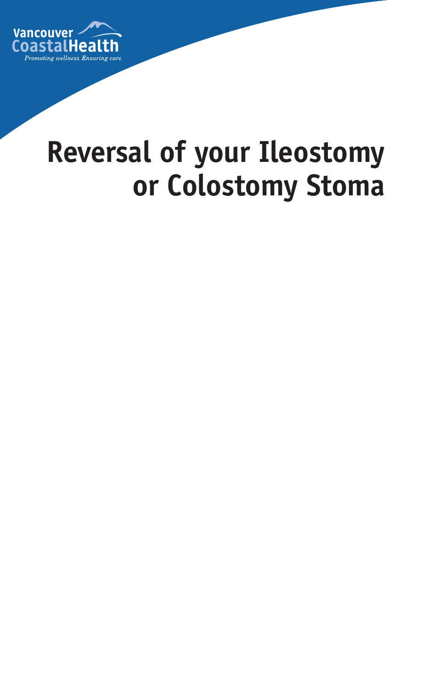

# **Reversal of your Ileostomy or Colostomy Stoma**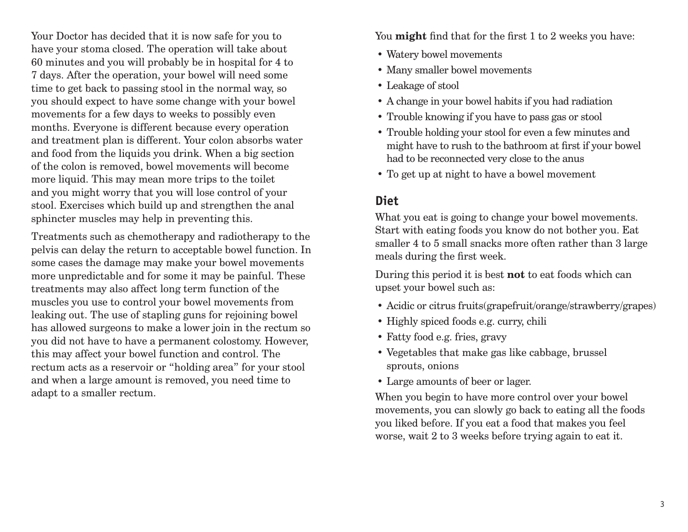Your Doctor has decided that it is now safe for you to have your stoma closed. The operation will take about 60 minutes and you will probably be in hospital for 4 to 7 days. After the operation, your bowel will need some time to get back to passing stool in the normal way, so you should expect to have some change with your bowel movements for a few days to weeks to possibly even months. Everyone is different because every operation and treatment plan is different. Your colon absorbs water and food from the liquids you drink. When a big section of the colon is removed, bowel movements will become more liquid. This may mean more trips to the toilet and you might worry that you will lose control of your stool. Exercises which build up and strengthen the anal sphincter muscles may help in preventing this.

Treatments such as chemotherapy and radiotherapy to the pelvis can delay the return to acceptable bowel function. In some cases the damage may make your bowel movements more unpredictable and for some it may be painful. These treatments may also affect long term function of the muscles you use to control your bowel movements from leaking out. The use of stapling guns for rejoining bowel has allowed surgeons to make a lower join in the rectum so you did not have to have a permanent colostomy. However, this may affect your bowel function and control. The rectum acts as a reservoir or "holding area" for your stool and when a large amount is removed, you need time to adapt to a smaller rectum.

You **might** find that for the first 1 to 2 weeks you have:

- Watery bowel movements
- Many smaller bowel movements
- Leakage of stool
- A change in your bowel habits if you had radiation
- Trouble knowing if you have to pass gas or stool
- Trouble holding your stool for even a few minutes and might have to rush to the bathroom at first if your bowel had to be reconnected very close to the anus
- To get up at night to have a bowel movement

### **Diet**

What you eat is going to change your bowel movements. Start with eating foods you know do not bother you. Eat smaller 4 to 5 small snacks more often rather than 3 large meals during the first week.

During this period it is best **not** to eat foods which can upset your bowel such as:

- Acidic or citrus fruits(grapefruit/orange/strawberry/grapes)
- Highly spiced foods e.g. curry, chili
- Fatty food e.g. fries, gravy
- Vegetables that make gas like cabbage, brussel sprouts, onions
- Large amounts of beer or lager.

When you begin to have more control over your bowel movements, you can slowly go back to eating all the foods you liked before. If you eat a food that makes you feel worse, wait 2 to 3 weeks before trying again to eat it.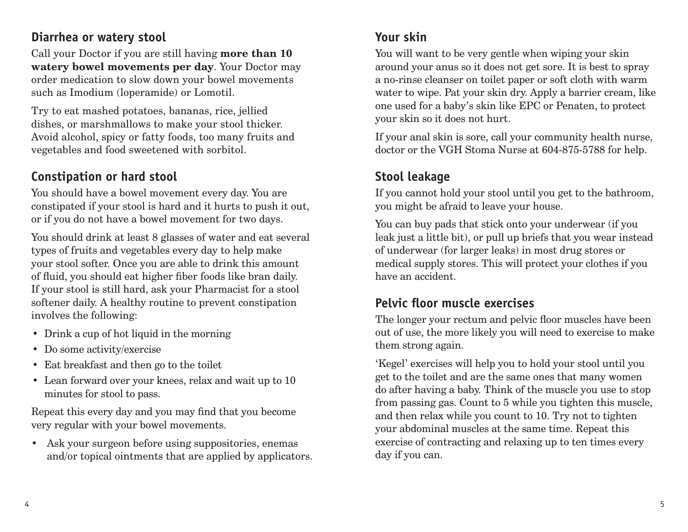#### **Diarrhea or watery stool**

Call your Doctor if you are still having **more than 10 watery bowel movements per day**. Your Doctor may order medication to slow down your bowel movements such as Imodium (loperamide) or Lomotil.

Try to eat mashed potatoes, bananas, rice, jellied dishes, or marshmallows to make your stool thicker. Avoid alcohol, spicy or fatty foods, too many fruits and vegetables and food sweetened with sorbitol.

## **Constipation or hard stool**

You should have a bowel movement every day. You are constipated if your stool is hard and it hurts to push it out, or if you do not have a bowel movement for two days.

You should drink at least 8 glasses of water and eat several types of fruits and vegetables every day to help make your stool softer. Once you are able to drink this amount of fluid, you should eat higher fiber foods like bran daily. If your stool is still hard, ask your Pharmacist for a stool softener daily. A healthy routine to prevent constipation involves the following:

- Drink a cup of hot liquid in the morning
- Do some activity/exercise
- Eat breakfast and then go to the toilet
- Lean forward over your knees, relax and wait up to 10 minutes for stool to pass.

Repeat this every day and you may find that you become very regular with your bowel movements.

• Ask your surgeon before using suppositories, enemas and/or topical ointments that are applied by applicators.

#### **Your skin**

You will want to be very gentle when wiping your skin around your anus so it does not get sore. It is best to spray a no-rinse cleanser on toilet paper or soft cloth with warm water to wipe. Pat your skin dry. Apply a barrier cream, like one used for a baby's skin like EPC or Penaten, to protect your skin so it does not hurt.

If your anal skin is sore, call your community health nurse, doctor or the VGH Stoma Nurse at 604-875-5788 for help.

## **Stool leakage**

If you cannot hold your stool until you get to the bathroom, you might be afraid to leave your house.

You can buy pads that stick onto your underwear (if you leak just a little bit), or pull up briefs that you wear instead of underwear (for larger leaks) in most drug stores or medical supply stores. This will protect your clothes if you have an accident.

## **Pelvic floor muscle exercises**

The longer your rectum and pelvic floor muscles have been out of use, the more likely you will need to exercise to make them strong again.

'Kegel' exercises will help you to hold your stool until you get to the toilet and are the same ones that many women do after having a baby. Think of the muscle you use to stop from passing gas. Count to 5 while you tighten this muscle, and then relax while you count to 10. Try not to tighten your abdominal muscles at the same time. Repeat this exercise of contracting and relaxing up to ten times every day if you can.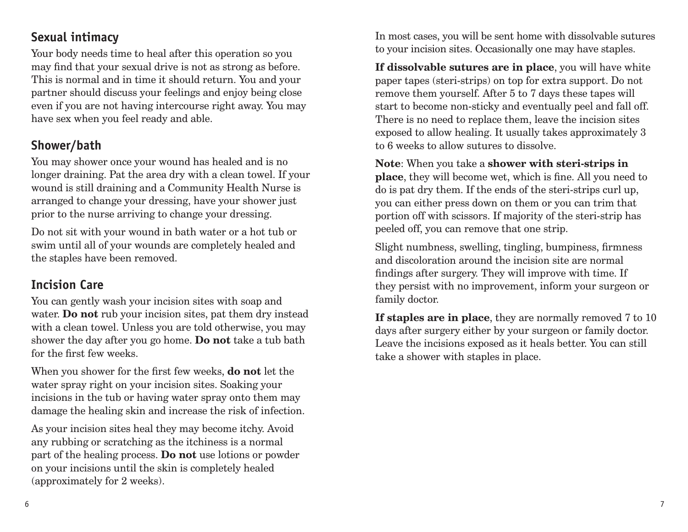#### **Sexual intimacy**

Your body needs time to heal after this operation so you may find that your sexual drive is not as strong as before. This is normal and in time it should return. You and your partner should discuss your feelings and enjoy being close even if you are not having intercourse right away. You may have sex when you feel ready and able.

### **Shower/bath**

You may shower once your wound has healed and is no longer draining. Pat the area dry with a clean towel. If your wound is still draining and a Community Health Nurse is arranged to change your dressing, have your shower just prior to the nurse arriving to change your dressing.

Do not sit with your wound in bath water or a hot tub or swim until all of your wounds are completely healed and the staples have been removed.

## **Incision Care**

You can gently wash your incision sites with soap and water. **Do not** rub your incision sites, pat them dry instead with a clean towel. Unless you are told otherwise, you may shower the day after you go home. **Do not** take a tub bath for the first few weeks.

When you shower for the first few weeks, **do not** let the water spray right on your incision sites. Soaking your incisions in the tub or having water spray onto them may damage the healing skin and increase the risk of infection.

As your incision sites heal they may become itchy. Avoid any rubbing or scratching as the itchiness is a normal part of the healing process. **Do not** use lotions or powder on your incisions until the skin is completely healed (approximately for 2 weeks).

In most cases, you will be sent home with dissolvable sutures to your incision sites. Occasionally one may have staples.

**If dissolvable sutures are in place**, you will have white paper tapes (steri-strips) on top for extra support. Do not remove them yourself. After 5 to 7 days these tapes will start to become non-sticky and eventually peel and fall off. There is no need to replace them, leave the incision sites exposed to allow healing. It usually takes approximately 3 to 6 weeks to allow sutures to dissolve.

**Note**: When you take a **shower with steri-strips in place**, they will become wet, which is fine. All you need to do is pat dry them. If the ends of the steri-strips curl up, you can either press down on them or you can trim that portion off with scissors. If majority of the steri-strip has peeled off, you can remove that one strip.

Slight numbness, swelling, tingling, bumpiness, firmness and discoloration around the incision site are normal findings after surgery. They will improve with time. If they persist with no improvement, inform your surgeon or family doctor.

**If staples are in place**, they are normally removed 7 to 10 days after surgery either by your surgeon or family doctor. Leave the incisions exposed as it heals better. You can still take a shower with staples in place.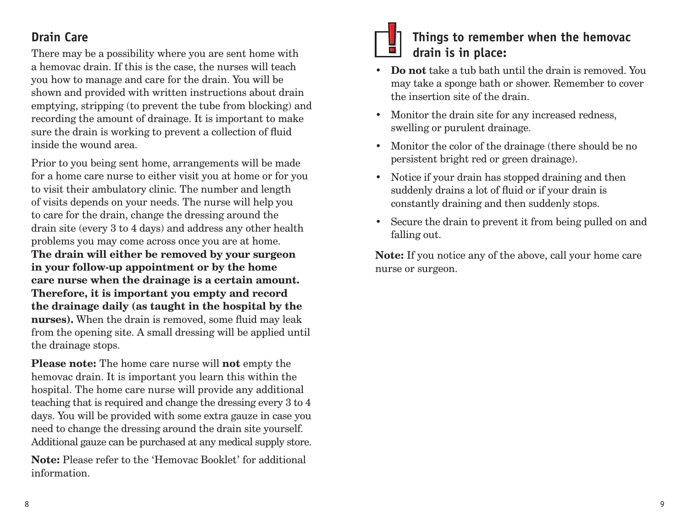## **Drain Care**

There may be a possibility where you are sent home with a hemovac drain. If this is the case, the nurses will teach you how to manage and care for the drain. You will be shown and provided with written instructions about drain emptying, stripping (to prevent the tube from blocking) and recording the amount of drainage. It is important to make sure the drain is working to prevent a collection of fluid inside the wound area.

Prior to you being sent home, arrangements will be made for a home care nurse to either visit you at home or for you to visit their ambulatory clinic. The number and length of visits depends on your needs. The nurse will help you to care for the drain, change the dressing around the drain site (every 3 to 4 days) and address any other health problems you may come across once you are at home. **The drain will either be removed by your surgeon in your follow-up appointment or by the home care nurse when the drainage is a certain amount. Therefore, it is important you empty and record the drainage daily (as taught in the hospital by the nurses).** When the drain is removed, some fluid may leak from the opening site. A small dressing will be applied until the drainage stops.

**Please note:** The home care nurse will **not** empty the hemovac drain. It is important you learn this within the hospital. The home care nurse will provide any additional teaching that is required and change the dressing every 3 to 4 days. You will be provided with some extra gauze in case you need to change the dressing around the drain site yourself. Additional gauze can be purchased at any medical supply store.

**Note:** Please refer to the 'Hemovac Booklet' for additional information.



#### **Things to remember when the hemovac drain is in place:**

- **Do not** take a tub bath until the drain is removed. You may take a sponge bath or shower. Remember to cover the insertion site of the drain.
- Monitor the drain site for any increased redness, swelling or purulent drainage.
- Monitor the color of the drainage (there should be no persistent bright red or green drainage).
- Notice if your drain has stopped draining and then suddenly drains a lot of fluid or if your drain is constantly draining and then suddenly stops.
- Secure the drain to prevent it from being pulled on and falling out.

**Note:** If you notice any of the above, call your home care nurse or surgeon.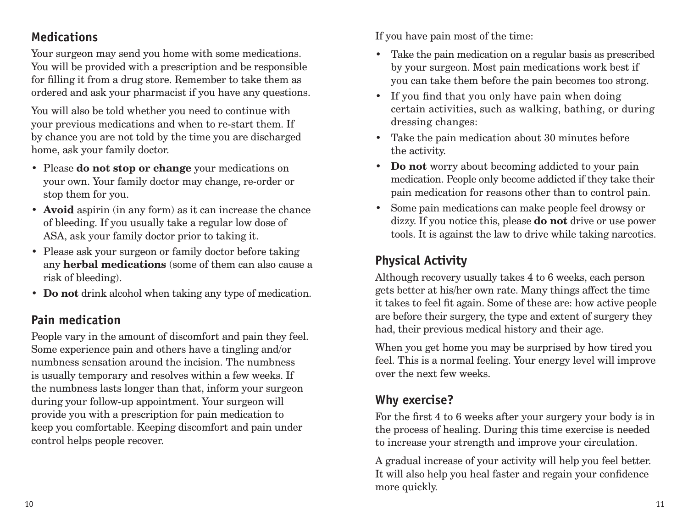#### **Medications**

Your surgeon may send you home with some medications. You will be provided with a prescription and be responsible for filling it from a drug store. Remember to take them as ordered and ask your pharmacist if you have any questions.

You will also be told whether you need to continue with your previous medications and when to re-start them. If by chance you are not told by the time you are discharged home, ask your family doctor.

- Please **do not stop or change** your medications on your own. Your family doctor may change, re-order or stop them for you.
- **• Avoid** aspirin (in any form) as it can increase the chance of bleeding. If you usually take a regular low dose of ASA, ask your family doctor prior to taking it.
- Please ask your surgeon or family doctor before taking any **herbal medications** (some of them can also cause a risk of bleeding).
- **• Do not** drink alcohol when taking any type of medication.

# **Pain medication**

People vary in the amount of discomfort and pain they feel. Some experience pain and others have a tingling and/or numbness sensation around the incision. The numbness is usually temporary and resolves within a few weeks. If the numbness lasts longer than that, inform your surgeon during your follow-up appointment. Your surgeon will provide you with a prescription for pain medication to keep you comfortable. Keeping discomfort and pain under control helps people recover.

If you have pain most of the time:

- Take the pain medication on a regular basis as prescribed by your surgeon. Most pain medications work best if you can take them before the pain becomes too strong.
- If you find that you only have pain when doing certain activities, such as walking, bathing, or during dressing changes:
- Take the pain medication about 30 minutes before the activity.
- **• Do not** worry about becoming addicted to your pain medication. People only become addicted if they take their pain medication for reasons other than to control pain.
- Some pain medications can make people feel drowsy or dizzy. If you notice this, please **do not** drive or use power tools. It is against the law to drive while taking narcotics.

# **Physical Activity**

Although recovery usually takes 4 to 6 weeks, each person gets better at his/her own rate. Many things affect the time it takes to feel fit again. Some of these are: how active people are before their surgery, the type and extent of surgery they had, their previous medical history and their age.

When you get home you may be surprised by how tired you feel. This is a normal feeling. Your energy level will improve over the next few weeks.

# **Why exercise?**

For the first 4 to 6 weeks after your surgery your body is in the process of healing. During this time exercise is needed to increase your strength and improve your circulation.

A gradual increase of your activity will help you feel better. It will also help you heal faster and regain your confidence more quickly.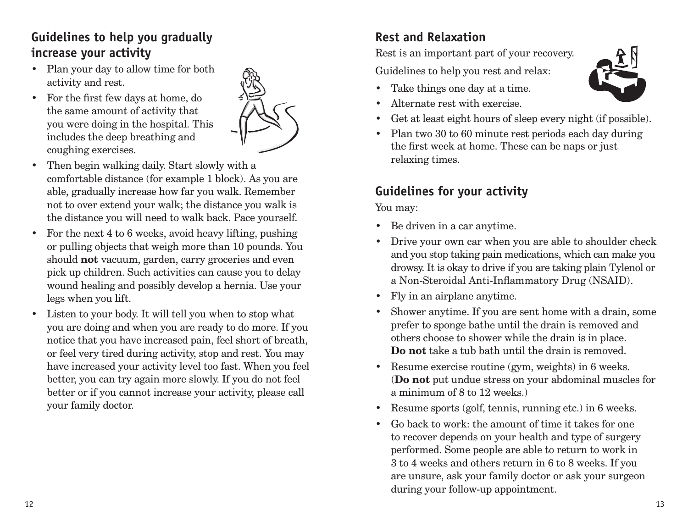#### **Guidelines to help you gradually increase your activity**

- Plan your day to allow time for both activity and rest.
- For the first few days at home, do the same amount of activity that you were doing in the hospital. This includes the deep breathing and coughing exercises.



- Then begin walking daily. Start slowly with a comfortable distance (for example 1 block). As you are able, gradually increase how far you walk. Remember not to over extend your walk; the distance you walk is the distance you will need to walk back. Pace yourself.
- For the next 4 to 6 weeks, avoid heavy lifting, pushing or pulling objects that weigh more than 10 pounds. You should **not** vacuum, garden, carry groceries and even pick up children. Such activities can cause you to delay wound healing and possibly develop a hernia. Use your legs when you lift.
- Listen to your body. It will tell you when to stop what you are doing and when you are ready to do more. If you notice that you have increased pain, feel short of breath, or feel very tired during activity, stop and rest. You may have increased your activity level too fast. When you feel better, you can try again more slowly. If you do not feel better or if you cannot increase your activity, please call your family doctor.

# **Rest and Relaxation**

Rest is an important part of your recovery.

Guidelines to help you rest and relax:

- Take things one day at a time.
- Alternate rest with exercise.
- Get at least eight hours of sleep every night (if possible).
- Plan two 30 to 60 minute rest periods each day during the first week at home. These can be naps or just relaxing times.

## **Guidelines for your activity**

You may:

- Be driven in a car anytime.
- Drive your own car when you are able to shoulder check and you stop taking pain medications, which can make you drowsy. It is okay to drive if you are taking plain Tylenol or a Non-Steroidal Anti-Inflammatory Drug (NSAID).
- Fly in an airplane anytime.
- Shower anytime. If you are sent home with a drain, some prefer to sponge bathe until the drain is removed and others choose to shower while the drain is in place. **Do not** take a tub bath until the drain is removed.
- Resume exercise routine (gym, weights) in 6 weeks. (**Do not** put undue stress on your abdominal muscles for a minimum of 8 to 12 weeks.)
- Resume sports (golf, tennis, running etc.) in 6 weeks.
- Go back to work: the amount of time it takes for one to recover depends on your health and type of surgery performed. Some people are able to return to work in 3 to 4 weeks and others return in 6 to 8 weeks. If you are unsure, ask your family doctor or ask your surgeon during your follow-up appointment.

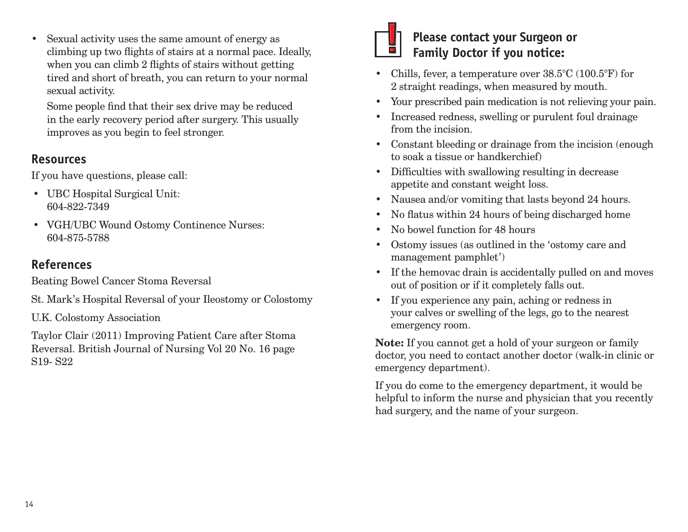• Sexual activity uses the same amount of energy as climbing up two flights of stairs at a normal pace. Ideally, when you can climb 2 flights of stairs without getting tired and short of breath, you can return to your normal sexual activity.

Some people find that their sex drive may be reduced in the early recovery period after surgery. This usually improves as you begin to feel stronger.

#### **Resources**

If you have questions, please call:

- UBC Hospital Surgical Unit: 604-822-7349
- VGH/UBC Wound Ostomy Continence Nurses: 604-875-5788

# **References**

Beating Bowel Cancer Stoma Reversal

St. Mark's Hospital Reversal of your Ileostomy or Colostomy

U.K. Colostomy Association

Taylor Clair (2011) Improving Patient Care after Stoma Reversal. British Journal of Nursing Vol 20 No. 16 page S19- S22



## **Please contact your Surgeon or Family Doctor if you notice:**

- Chills, fever, a temperature over 38.5°C (100.5°F) for 2 straight readings, when measured by mouth.
- Your prescribed pain medication is not relieving your pain.
- Increased redness, swelling or purulent foul drainage from the incision.
- Constant bleeding or drainage from the incision (enough to soak a tissue or handkerchief)
- Difficulties with swallowing resulting in decrease appetite and constant weight loss.
- Nausea and/or vomiting that lasts beyond 24 hours.
- No flatus within 24 hours of being discharged home
- No bowel function for 48 hours
- Ostomy issues (as outlined in the 'ostomy care and management pamphlet')
- If the hemovac drain is accidentally pulled on and moves out of position or if it completely falls out.
- If you experience any pain, aching or redness in your calves or swelling of the legs, go to the nearest emergency room.

**Note:** If you cannot get a hold of your surgeon or family doctor, you need to contact another doctor (walk-in clinic or emergency department).

If you do come to the emergency department, it would be helpful to inform the nurse and physician that you recently had surgery, and the name of your surgeon.